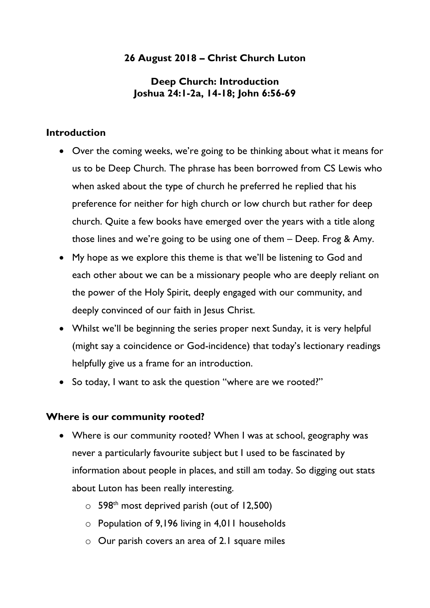# **26 August 2018 – Christ Church Luton**

# **Deep Church: Introduction Joshua 24:1-2a, 14-18; John 6:56-69**

### **Introduction**

- Over the coming weeks, we're going to be thinking about what it means for us to be Deep Church. The phrase has been borrowed from CS Lewis who when asked about the type of church he preferred he replied that his preference for neither for high church or low church but rather for deep church. Quite a few books have emerged over the years with a title along those lines and we're going to be using one of them – Deep. Frog & Amy.
- My hope as we explore this theme is that we'll be listening to God and each other about we can be a missionary people who are deeply reliant on the power of the Holy Spirit, deeply engaged with our community, and deeply convinced of our faith in Jesus Christ.
- Whilst we'll be beginning the series proper next Sunday, it is very helpful (might say a coincidence or God-incidence) that today's lectionary readings helpfully give us a frame for an introduction.
- So today, I want to ask the question "where are we rooted?"

#### **Where is our community rooted?**

- Where is our community rooted? When I was at school, geography was never a particularly favourite subject but I used to be fascinated by information about people in places, and still am today. So digging out stats about Luton has been really interesting.
	- $\circ$  598<sup>th</sup> most deprived parish (out of 12,500)
	- o Population of 9,196 living in 4,011 households
	- $\circ$  Our parish covers an area of 2.1 square miles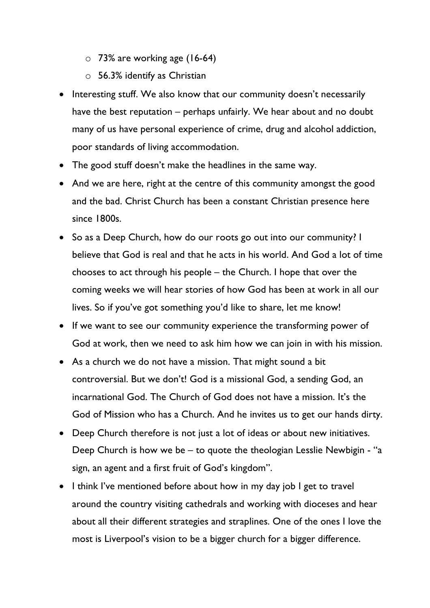- $\circ$  73% are working age (16-64)
- $\circ$  56.3% identify as Christian
- Interesting stuff. We also know that our community doesn't necessarily have the best reputation – perhaps unfairly. We hear about and no doubt many of us have personal experience of crime, drug and alcohol addiction, poor standards of living accommodation.
- The good stuff doesn't make the headlines in the same way.
- And we are here, right at the centre of this community amongst the good and the bad. Christ Church has been a constant Christian presence here since 1800s.
- So as a Deep Church, how do our roots go out into our community? I believe that God is real and that he acts in his world. And God a lot of time chooses to act through his people – the Church. I hope that over the coming weeks we will hear stories of how God has been at work in all our lives. So if you've got something you'd like to share, let me know!
- If we want to see our community experience the transforming power of God at work, then we need to ask him how we can join in with his mission.
- As a church we do not have a mission. That might sound a bit controversial. But we don't! God is a missional God, a sending God, an incarnational God. The Church of God does not have a mission. It's the God of Mission who has a Church. And he invites us to get our hands dirty.
- Deep Church therefore is not just a lot of ideas or about new initiatives. Deep Church is how we be – to quote the theologian Lesslie Newbigin - "a sign, an agent and a first fruit of God's kingdom".
- I think I've mentioned before about how in my day job I get to travel around the country visiting cathedrals and working with dioceses and hear about all their different strategies and straplines. One of the ones I love the most is Liverpool's vision to be a bigger church for a bigger difference.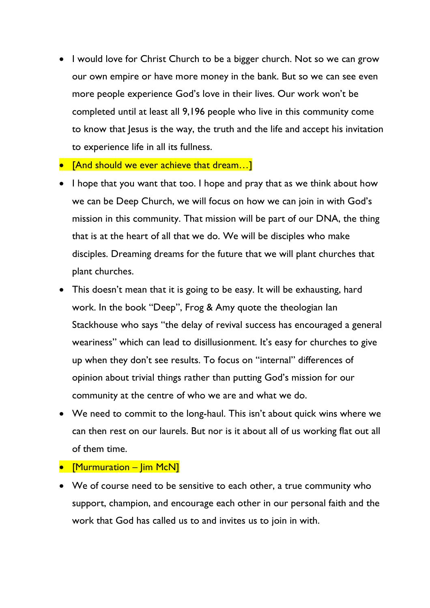- I would love for Christ Church to be a bigger church. Not so we can grow our own empire or have more money in the bank. But so we can see even more people experience God's love in their lives. Our work won't be completed until at least all 9,196 people who live in this community come to know that Jesus is the way, the truth and the life and accept his invitation to experience life in all its fullness.
- **FAnd should we ever achieve that dream...**
- I hope that you want that too. I hope and pray that as we think about how we can be Deep Church, we will focus on how we can join in with God's mission in this community. That mission will be part of our DNA, the thing that is at the heart of all that we do. We will be disciples who make disciples. Dreaming dreams for the future that we will plant churches that plant churches.
- This doesn't mean that it is going to be easy. It will be exhausting, hard work. In the book "Deep", Frog & Amy quote the theologian Ian Stackhouse who says "the delay of revival success has encouraged a general weariness" which can lead to disillusionment. It's easy for churches to give up when they don't see results. To focus on "internal" differences of opinion about trivial things rather than putting God's mission for our community at the centre of who we are and what we do.
- We need to commit to the long-haul. This isn't about quick wins where we can then rest on our laurels. But nor is it about all of us working flat out all of them time.
- [Murmuration Jim McN]
- We of course need to be sensitive to each other, a true community who support, champion, and encourage each other in our personal faith and the work that God has called us to and invites us to join in with.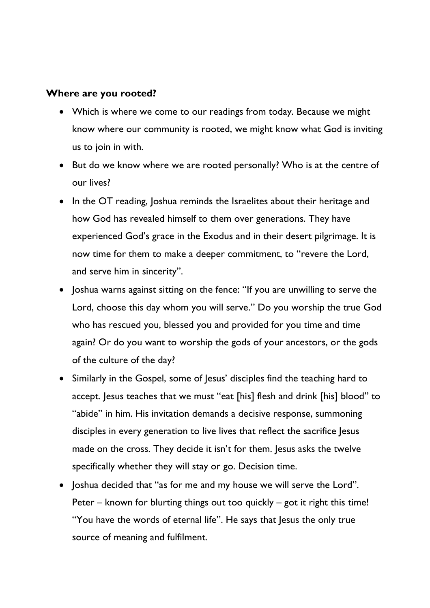### **Where are you rooted?**

- Which is where we come to our readings from today. Because we might know where our community is rooted, we might know what God is inviting us to join in with.
- But do we know where we are rooted personally? Who is at the centre of our lives?
- In the OT reading, Joshua reminds the Israelites about their heritage and how God has revealed himself to them over generations. They have experienced God's grace in the Exodus and in their desert pilgrimage. It is now time for them to make a deeper commitment, to "revere the Lord, and serve him in sincerity".
- Joshua warns against sitting on the fence: "If you are unwilling to serve the Lord, choose this day whom you will serve." Do you worship the true God who has rescued you, blessed you and provided for you time and time again? Or do you want to worship the gods of your ancestors, or the gods of the culture of the day?
- Similarly in the Gospel, some of Jesus' disciples find the teaching hard to accept. Jesus teaches that we must "eat [his] flesh and drink [his] blood" to "abide" in him. His invitation demands a decisive response, summoning disciples in every generation to live lives that reflect the sacrifice Jesus made on the cross. They decide it isn't for them. Jesus asks the twelve specifically whether they will stay or go. Decision time.
- Joshua decided that "as for me and my house we will serve the Lord". Peter – known for blurting things out too quickly – got it right this time! "You have the words of eternal life". He says that Jesus the only true source of meaning and fulfilment.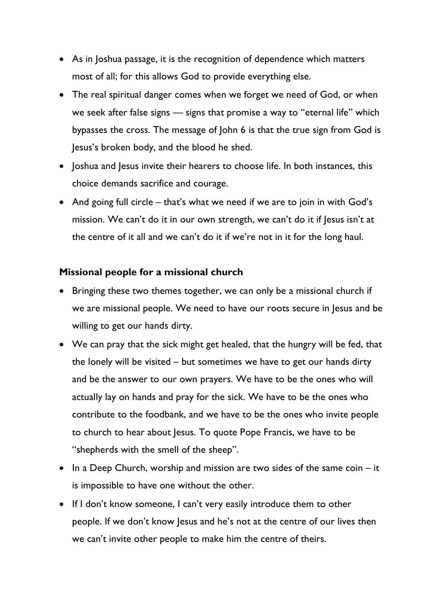- As in Joshua passage, it is the recognition of dependence which matters most of all; for this allows God to provide everything else.
- The real spiritual danger comes when we forget we need of God, or when we seek after false signs — signs that promise a way to "eternal life" which bypasses the cross. The message of John 6 is that the true sign from God is Jesus's broken body, and the blood he shed.
- Joshua and Jesus invite their hearers to choose life. In both instances, this choice demands sacrifice and courage.
- And going full circle that's what we need if we are to join in with God's mission. We can't do it in our own strength, we can't do it if Jesus isn't at the centre of it all and we can't do it if we're not in it for the long haul.

### **Missional people for a missional church**

- Bringing these two themes together, we can only be a missional church if we are missional people. We need to have our roots secure in Jesus and be willing to get our hands dirty.
- We can pray that the sick might get healed, that the hungry will be fed, that the lonely will be visited – but sometimes we have to get our hands dirty and be the answer to our own prayers. We have to be the ones who will actually lay on hands and pray for the sick. We have to be the ones who contribute to the foodbank, and we have to be the ones who invite people to church to hear about Jesus. To quote Pope Francis, we have to be "shepherds with the smell of the sheep".
- In a Deep Church, worship and mission are two sides of the same coin it is impossible to have one without the other.
- If I don't know someone, I can't very easily introduce them to other people. If we don't know Jesus and he's not at the centre of our lives then we can't invite other people to make him the centre of theirs.